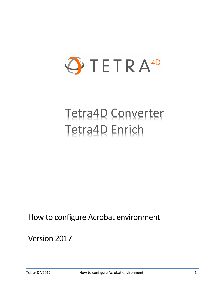

# Tetra4D Converter Tetra4D Enrich

# How to configure Acrobat environment

# Version 2017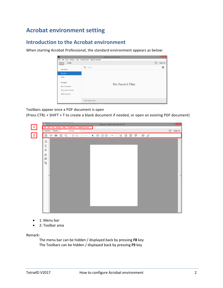## **Acrobat environment setting**

## **Introduction to the Acrobat environment**

When starting Acrobat Professional, the standard environment appears as below:

| П                                                           | Adobe Acrobat Pro DC      | $   \times$         |  |  |
|-------------------------------------------------------------|---------------------------|---------------------|--|--|
| File Edit View Window Help Tetra4D Enrich Tetra4D Converter |                           |                     |  |  |
| <b>Tools</b><br>Home                                        |                           | Sign In<br>ᢙ        |  |  |
|                                                             | Q<br>Search               | $\blacksquare$<br>m |  |  |
| <b>File Lists</b>                                           |                           |                     |  |  |
| Recent                                                      |                           |                     |  |  |
| Sent                                                        |                           |                     |  |  |
|                                                             |                           |                     |  |  |
| Storage                                                     | No Recent Files           |                     |  |  |
| My Computer                                                 |                           |                     |  |  |
| <b>Document Cloud</b>                                       |                           |                     |  |  |
| <b>Add Account</b>                                          |                           |                     |  |  |
|                                                             |                           |                     |  |  |
|                                                             | <b>Clear Recent Files</b> |                     |  |  |
|                                                             |                           |                     |  |  |

Toolbars appear once a PDF document is open

(Press CTRL + SHIFT + T to create a blank document if needed, or open an existing PDF document)



- 1: Menu bar
- 2: Toolbar area

Remark:

The menu bar can be hidden / displayed back by pressing **F8** key The Toolbars can be hidden / displayed back by pressing **F9** key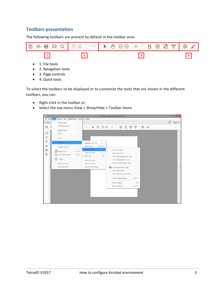#### **Toolbars presentation**

The following toolbars are present by default in the toolbar area:



• 4: Quick tools

To select the toolbars to be displayed or to customize the tools that are shown in the different toolbars, you can:

- Right-click in the toolbar or,
- Select the top menu View > Show/Hide > Toolbar Items

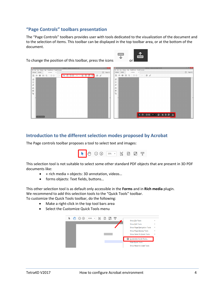#### **"Page Controls" toolbars presentation**

The "Page Controls" toolbars provides user with tools dedicated to the visualization of the document and to the selection of items. This toolbar can be displayed in the top toolbar area, or at the bottom of the document.

**TITLE** 

↓

Ф منہ

To change the position of this toolbar, press the icons



#### **Introduction to the different selection modes proposed by Acrobat**

The Page controls toolbar proposes a tool to select text and images:



This selection tool is not suitable to select some other standard PDF objects that are present in 3D PDF documents like:

- « rich media » objects: 3D annotation, videos…
- forms objects: Text fields, buttons…

This other selection tool is as default only accessible in the **Forms** and in **Rich media** plugin. We recommend to add this selection tools to the "Quick Tools" toolbar.

To customize the Quick Tools toolbar, do the following:

- Make a right-click in the top tool bars area
- Select the Customize Quick Tools menu

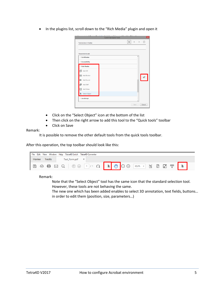• In the plugins list, scroll down to the "Rich Media" plugin and open it

|                          | <b>Customize Quick Tools</b> |                        |                   |
|--------------------------|------------------------------|------------------------|-------------------|
| Tools to show in Toolban |                              | $\overline{\P}$<br>lo. | 而<br>$\mathbb{R}$ |
| Choose tools to add:     |                              |                        | $\lambda$         |
| <b>▶ Certificates</b>    |                              |                        |                   |
| Accessibility            |                              |                        |                   |
| * Rich Media             |                              |                        |                   |
| ⋒<br>Add 3D              |                              |                        |                   |
| OK Add Button            |                              |                        | oî                |
| Add Sound                |                              |                        |                   |
| ூ<br>Add SWF             |                              |                        |                   |
| H<br>Add Video           |                              |                        |                   |
| Select Object<br>▶       |                              |                        |                   |
| <b>&gt; JavaScript</b>   |                              |                        |                   |
|                          |                              | Save                   | Cancel            |
|                          |                              |                        |                   |

- Click on the "Select Object" icon at the bottom of the list
- Then click on the right arrow to add this tool to the "Quick tools" toolbar
- Click on Save

#### Remark:

It is possible to remove the other default tools from the quick tools toolbar.

After this operation, the top toolbar should look like this:

| File Edit View Window Help Tetra4D Enrich Tetra4D Converter |                                                      |  |  |  |
|-------------------------------------------------------------|------------------------------------------------------|--|--|--|
| <b>Tools</b><br>Home<br>Test_Form.pdf<br>$\mathbb{X}$       |                                                      |  |  |  |
| 圖                                                           | <b>◆ ● 図 Q   ① ① 1 /1 Q   ▶ ① D ① 555% ▼ 局 図 図 罗</b> |  |  |  |

Remark:

Note that the "Select Object" tool has the same icon that the standard selection tool. However, these tools are not behaving the same.

The new one which has been added enables to select 3D annotation, text fields, buttons… in order to edit them (position, size, parameters…)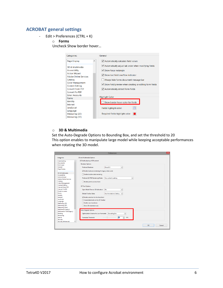#### **ACROBAT general settings**

- Edit > Preferences (CTRL + K)
	- o **Forms**

Uncheck Show border hover…

| Categories:                                                                                                                                                                                                  |                     | General                                                                                                                                                                                                                                                                                    |
|--------------------------------------------------------------------------------------------------------------------------------------------------------------------------------------------------------------|---------------------|--------------------------------------------------------------------------------------------------------------------------------------------------------------------------------------------------------------------------------------------------------------------------------------------|
| <b>Page Display</b>                                                                                                                                                                                          | $\hat{\phantom{1}}$ | ✔ Automatically calculate field values                                                                                                                                                                                                                                                     |
| 3D & Multimedia<br><b>Accessibility</b><br><b>Action Wizard</b><br><b>Adobe Online Services</b><br>Catalog<br><b>Color Management</b><br><b>Content Editing</b><br><b>Convert From PDF</b><br>Convert To PDF |                     | Automatically adjust tab order when modifying fields<br>$\triangleright$ Show focus rectangle<br>$\vee$ Show text field overflow indicator<br>Always hide forms document message bar<br>$\vee$ Show field preview when creating or editing form fields<br>Automatically detect Form fields |
| <b>Email Accounts</b><br><b>Forms</b><br><b>Identity</b><br>Internet<br><b>JavaScript</b><br>Language<br>Measuring (2D)<br>Measuring (3D)                                                                    |                     | <b>Highlight Color</b><br>Show border hover color for fields<br>Fields highlight color:<br>Required fields highlight color:                                                                                                                                                                |

#### o **3D & Multimedia**

Set the Auto-Degrade Options to Bounding Box, and set the threshold to 20 This option enables to manipulate large model while keeping acceptable performances when rotating the 3D model.

|                              | <b>Preferences</b>                                                                   | $\times$ |
|------------------------------|--------------------------------------------------------------------------------------|----------|
| Categories:                  | <b>3D and Multimedia Options</b>                                                     |          |
| Commenting<br>$\lambda$      | Enable playing of 3D content                                                         |          |
| Documents                    |                                                                                      |          |
| <b>Full Screen</b>           | <b>Renderer Options</b>                                                              |          |
| General                      | <b>Preferred Renderer:</b><br>DirectX 9<br>$\checkmark$                              |          |
| <b>Page Display</b>          | I Enable hardware rendering for legacy video cards                                   |          |
| 3D & Multimedia              |                                                                                      |          |
| <b>Accessibility</b>         | Enable double-sided rendering                                                        |          |
| <b>Action Wizard</b>         |                                                                                      |          |
| <b>Adobe Online Services</b> | Use content's setting<br>Preferred 3D PMI Rendering Mode:<br>$\checkmark$            |          |
| Catalog                      | Render points as cross-hairs                                                         |          |
| <b>Color Management</b>      |                                                                                      |          |
| <b>Content Editing</b>       |                                                                                      |          |
| <b>Convert From PDF</b>      | <b>3D Tool Options</b>                                                               |          |
| <b>Convert To PDF</b>        | Open Model Tree on 3D Activation:<br><b>No</b><br>$\checkmark$                       |          |
| <b>Email Accounts</b>        |                                                                                      |          |
| Forms                        | <b>Default Toolbar State:</b><br><b>Use Annotation's Setting</b><br>$\checkmark$     |          |
| Identity                     |                                                                                      |          |
| Internet                     | The Enable selection for the Hand tool                                               |          |
| <b>JavaScript</b>            | Consolidate tools on the 3D Toolbar                                                  |          |
| Language                     | Enable view transitions                                                              |          |
| Measuring (2D)               |                                                                                      |          |
| Measuring (3D)               | Show 3D orientation axis                                                             |          |
| Measuring (Geo)              |                                                                                      |          |
| Multimedia (legacy)          | <b>Auto-Degrade Options</b>                                                          |          |
| Multimedia Trust (legacy)    |                                                                                      |          |
| Reading<br>Reviewing         | <b>Bounding Box</b><br><b>Optimization Scheme for Low Framerate:</b><br>$\checkmark$ |          |
| Search                       | ÷<br>20<br>Framerate Threshold:<br><b>FPS</b>                                        |          |
| Security                     |                                                                                      |          |
| <b>Security (Enhanced)</b>   |                                                                                      |          |
|                              |                                                                                      |          |
|                              | OK<br>Cancel                                                                         |          |
|                              |                                                                                      |          |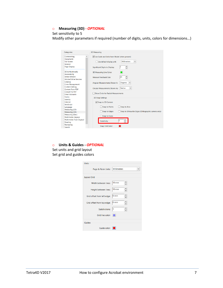o **Measuring (3D)** *- OPTIONAL*

#### Set sensitivity to 5

Modify other parameters if required (number of digits, units, colors for dimensions…)

| Categories:                                          | <b>3D Measuring</b>                                                  |  |  |
|------------------------------------------------------|----------------------------------------------------------------------|--|--|
| Commenting<br>^                                      | Use Scale and Units from Model (when present)                        |  |  |
| <b>Documents</b>                                     |                                                                      |  |  |
| <b>Full Screen</b>                                   | <b>Millimeters</b><br>$\checkmark$<br>Use default display unit:      |  |  |
| General                                              |                                                                      |  |  |
| <b>Page Display</b>                                  | $\frac{1}{\tau}$<br>Significant Digits to Display:                   |  |  |
| 3D & Multimedia<br><b>Accessibility</b>              | 3D Measuring Line Color:                                             |  |  |
| <b>Action Wizard</b><br><b>Adobe Online Services</b> | $\frac{1}{\tau}$<br>20<br>Measure Feedback Size:                     |  |  |
| Catalog<br><b>Color Management</b>                   | <b>Degrees</b><br>Angular Measurements Shown In:<br>$\checkmark$     |  |  |
| <b>Content Editing</b><br>Convert From PDF           | Radius<br>$\checkmark$<br><b>Circular Measurements Shown As:</b>     |  |  |
| Convert To PDF                                       | Show Circle for Radial Measurements                                  |  |  |
| <b>Email Accounts</b>                                |                                                                      |  |  |
| Forms                                                | <b>3D Snap Settings</b>                                              |  |  |
| Identity                                             |                                                                      |  |  |
| Internet                                             | Snap to 3D Content                                                   |  |  |
| <b>JavaScript</b>                                    |                                                                      |  |  |
| Language                                             | <b>Snap to Points</b><br>Snap to Arcs                                |  |  |
| Measuring (2D)                                       |                                                                      |  |  |
| Measuring (3D)                                       | Snap to Edges<br>Snap to Silhouette Edges (Orthographic camera only) |  |  |
| Measuring (Geo)                                      | Snap to Faces                                                        |  |  |
| Multimedia (legacy)                                  |                                                                      |  |  |
| Multimedia Trust (legacy)                            | l5<br>Sensitivity:                                                   |  |  |
| Reading                                              |                                                                      |  |  |
| Reviewing                                            | <b>Snap Hint Color:</b>                                              |  |  |
| Search                                               |                                                                      |  |  |

o **Units & Guides -** *OPTIONAL* Set units and grid layout Set grid and guides colors

| Units                       |                             |
|-----------------------------|-----------------------------|
| Page & Ruler Units:         | Millimeters<br>$\checkmark$ |
| <b>Layout Grid</b>          |                             |
| Width between lines:        | $10 \, \text{mm}$           |
| Height between lines:       | $10 \text{ mm}$             |
| Grid offset from left edge: | 0 <sub>mm</sub>             |
| Grid offset from top edge:  | 10 mm                       |
| Subdivisions:               | 5                           |
| Grid line color:            |                             |
| Guides                      |                             |
| Guide color:                |                             |